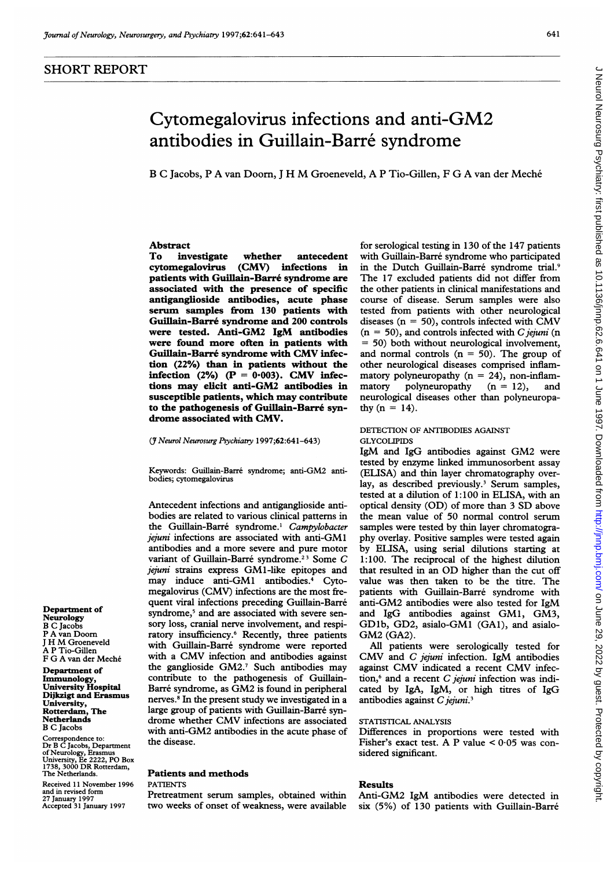# J Neurol Neurosurg Psychiatry: first published as 10.1136/jnnp.62.6.641 on 1 June 1997. Downloaded from http://jnnp.bmj.com/ on June 29, 2022 by guest. Protected by copyright J Neurol Neurosurg Psychiatry: first published as 10.1136/jnnp.62.6.641 on 1 June 1997. Downloaded from ntp://jnnp.bmj.com/ on June 29, 2022 by guest. Protected by copyright.

# Cytomegalovirus infections and anti-GM2 antibodies in Guillain-Barre syndrome

<sup>B</sup> <sup>C</sup> Jacobs, <sup>P</sup> A van Doom, <sup>J</sup> H M Groeneveld, A <sup>P</sup> Tio-Gillen, <sup>F</sup> G A van der Meche

# Abstract

To investigate whether antecedent<br>cytomegalovirus (CMV) infections in (CMV) infections in patients with Guillain-Barre syndrome are associated with the presence of specific antiganglioside antibodies, acute phase serum samples from 130 patients with Guillain-Barre syndrome and 200 controls were tested. Anti-GM2 IgM antibodies were found more often in patients with Guillain-Barre syndrome with CMV infection (22%) than in patients without the infection (2%) ( $P = 0.003$ ). CMV infections may elicit anti-GM2 antibodies in susceptible patients, which may contribute to the pathogenesis of Guillain-Barré syndrome associated with CMV.

### (J7 Neurol Neurosurg Psychiatry 1997;62:641-643)

Keywords: Guillain-Barre syndrome; anti-GM2 antibodies; cytomegalovirus

Antecedent infections and antiganglioside antibodies are related to various clinical patterns in the Guillain-Barré syndrome.<sup>1</sup> Campylobacter jejuni infections are associated with anti-GM1 antibodies and a more severe and pure motor variant of Guillain-Barre syndrome.23 Some C jejuni strains express GM1-like epitopes and may induce anti-GMI antibodies.4 Cytomegalovirus (CMV) infections are the most frequent viral infections preceding Guillain-Barre syndrome,<sup>5</sup> and are associated with severe sensory loss, cranial nerve involvement, and respiratory insufficiency.6 Recently, three patients with Guillain-Barré syndrome were reported with <sup>a</sup> CMV infection and antibodies against the ganglioside GM2.7 Such antibodies may contribute to the pathogenesis of Guillain-Barré syndrome, as GM2 is found in peripheral nerves.8 In the present study we investigated in a large group of patients with Guillain-Barre syndrome whether CMV infections are associated with anti-GM2 antibodies in the acute phase of the disease.

## Patients and methods

### PATIENTS

Pretreatment serum samples, obtained within two weeks of onset of weakness, were available

for serological testing in 130 of the 147 patients with Guillain-Barré syndrome who participated in the Dutch Guillain-Barré syndrome trial.9 The 17 excluded patients did not differ from the other patients in clinical manifestations and course of disease. Serum samples were also tested from patients with other neurological diseases ( $n = 50$ ), controls infected with CMV  $(n = 50)$ , and controls infected with C jejuni (n = 50) both without neurological involvement, and normal controls  $(n = 50)$ . The group of other neurological diseases comprised inflammatory polyneuropathy  $(n = 24)$ , non-inflammatory polyneuropathy  $(n = 12)$ , and neurological diseases other than polyneuropathy  $(n = 14)$ .

### DETECTION OF ANTIBODIES AGAINST **GLYCOLIPIDS**

IgM and IgG antibodies against GM2 were tested by enzyme linked immunosorbent assay (ELISA) and thin layer chromatography overlay, as described previously.<sup>3</sup> Serum samples, tested at a dilution of 1:100 in ELISA, with an optical density (OD) of more than <sup>3</sup> SD above the mean value of 50 normal control serum samples were tested by thin layer chromatography overlay. Positive samples were tested again by ELISA, using serial dilutions starting at 1:100. The reciprocal of the highest dilution that resulted in an OD higher than the cut off value was then taken to be the titre. The patients with Guillain-Barre syndrome with anti-GM2 antibodies were also tested for IgM and IgG antibodies against GM1, GM3, GDlb, GD2, asialo-GMI (GAl), and asialo-GM2 (GA2).

All patients were serologically tested for CMV and C jejuni infection. IgM antibodies against CMV indicated <sup>a</sup> recent CMV infection, $6$  and a recent C jejuni infection was indicated by IgA, IgM, or high titres of IgG antibodies against  $C$  jejuni.<sup>3</sup>

# STATISTICAL ANALYSIS

Differences in proportions were tested with Fisher's exact test. A P value  $\lt 0.05$  was considered significant.

# Results

Anti-GM2 IgM antibodies were detected in six (5%) of 130 patients with Guillain-Barre

Department of Neurology B C Jacobs P A van Doom <sup>J</sup> H M Groeneveld A P Tio-Gillen F G A van der Meche

Department of Immunology, University Hospital Dijkzigt and Erasmus University, Rotterdam, The Netherlands B C Jacobs

Correspondence to:<br>Dr B C Jacobs, Department<br>of Neurology, Erasmus<br>University, Ee 2222, PO Box<br>1738, 3000 DR Rotterdam,<br>The Netherlands.

Received 11 November 1996 and in revised form 27 January 1997 Accepted 31 January 1997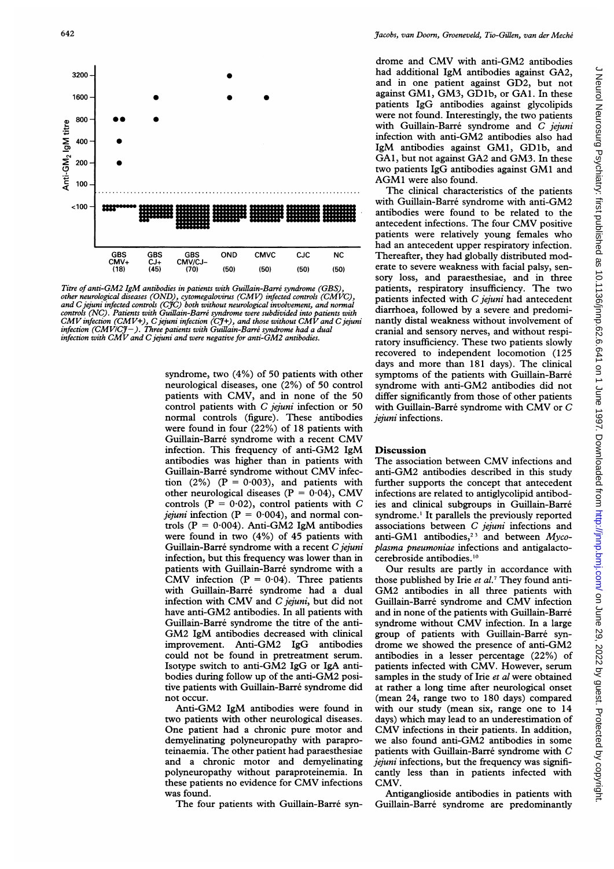

Titre of anti-GM2 IgM antibodies in patients with Guillain-Barré syndrome (GBS) other neurological diseases (OND), cytomegalovirus (CMV) infected controls (CMVC),<br>and C jejuni infected controls (CJC) both without neurological involvement, and normal controls (NC). Patients with Guillain-Barré syndrome were subdivided into patients with allarrhoed, followed by a severe and predomi- $CMV$  infection (CMV+), C jejuni infection (CJ+), and those without CMV and C jejuni infection (CMV/CJ — ). Three patients with Gui<br>infection with CMV and C jejuni and were nega

syndrome, two  $(4\%)$  of 50 patients with other neurological diseases, one (2%) of 50 control patients with CMV, and in none of the 50 control patients with  $C$  jejuni infection or 50 normal controls (figure). These antibodies *jejuni* infections. were found in four (22%) of 18 patients with Guillain-Barre syndrome with <sup>a</sup> recent CMV infection. This frequency of anti-GM2 IgM antibodies was higher than in patients with Guillain-Barré syndrome without CMV infection (2%) ( $P = 0.003$ ), and patients with other neurological diseases ( $P = 0.04$ ), CMV controls  $(P = 0.02)$ , control patients with C *jejuni* infection ( $P = 0.004$ ), and normal controls ( $P = 0.004$ ). Anti-GM2 IgM antibodies were found in two (4%) of 45 patients with Guillain-Barré syndrome with a recent C jejuni infection, but this frequency was lower than in patients with Guillain-Barré syndrome with a CMV infection ( $P = 0.04$ ). Three patients with Guillain-Barre syndrome had a dual infection with CMV and C jejuni, but did not have anti-GM2 antibodies. In all patients with Guillain-Barre syndrome the titre of the anti-GM2 IgM antibodies decreased with clinical improvement. Anti-GM2 IgG antibodies could not be found in pretreatment serum. Isotype switch to anti-GM2 IgG or IgA antibodies during follow up of the anti-GM2 positive patients with Guillain-Barre syndrome did not occur.

Anti-GM2 IgM antibodies were found in two patients with other neurological diseases. One patient had a chronic pure motor and demyelinating polyneuropathy with paraproteinaemia. The other patient had paraesthesiae and a chronic motor and demyelinating polyneuropathy without paraproteinemia. In these patients no evidence for CMV infections was found.

The four patients with Guillain-Barré syn-

drome and CMV with anti-GM2 antibodies had additional IgM antibodies against GA2, and in one patient against GD2, but not against GM1, GM3, GD1b, or GA1. In these patients IgG antibodies against glycolipids were not found. Interestingly, the two patients with Guillain-Barré syndrome and C jejuni infection with anti-GM2 antibodies also had IgM antibodies against GM1, GDlb, and GAl, but not against GA2 and GM3. In these two patients IgG antibodies against GM1 and AGM1 were also found.

The clinical characteristics of the patients with Guillain-Barré syndrome with anti-GM2 antibodies were found to be related to the antecedent infections. The four CMV positive patients were relatively young females who had an antecedent upper respiratory infection. OND CMVC CJC NC Thereafter, they had globally distributed mod- (50) (50) (50) (50) erate to severe weakness with facial palsy, sensory loss, and paraesthesiae, and in three patients, respiratory insufficiency. The two patients infected with  $C$  jejuni had antecedent nantly distal weakness without involvement of cranial and sensory nerves, and without respiratory insufficiency. These two patients slowly recovered to independent locomotion (125 days and more than 181 days). The clinical symptoms of the patients with Guillain-Barré syndrome with anti-GM2 antibodies did not differ significantly from those of other patients with Guillain-Barré syndrome with CMV or  $C$  *jejuni* infections.

### **Discussion**

The association between CMV infections and anti-GM2 antibodies described in this study further supports the concept that antecedent infections are related to antiglycolipid antibodies and clinical subgroups in Guillain-Barre syndrome.' It parallels the previously reported associations between C jejuni infections and anti-GM1 antibodies,<sup>23</sup> and between  $Myco$ plasma pneumoniae infections and antigalactocerebroside antibodies.'0

Our results are partly in accordance with those published by Irie et al.<sup>7</sup> They found anti-GM2 antibodies in all three patients with Guillain-Barre syndrome and CMV infection and in none of the patients with Guillain-Barre syndrome without CMV infection. In <sup>a</sup> large group of patients with Guillain-Barre syndrome we showed the presence of anti-GM2 antibodies in a lesser percentage (22%) of patients infected with CMV. However, serum samples in the study of Irie et al were obtained at rather a long time after neurological onset (mean 24, range two to 180 days) compared with our study (mean six, range one to 14 days) which may lead to an underestimation of CMV infections in their patients. In addition, we also found anti-GM2 antibodies in some patients with Guillain-Barre syndrome with C jejuni infections, but the frequency was significantly less than in patients infected with CMV.

Antiganglioside antibodies in patients with Guillain-Barre syndrome are predominantly